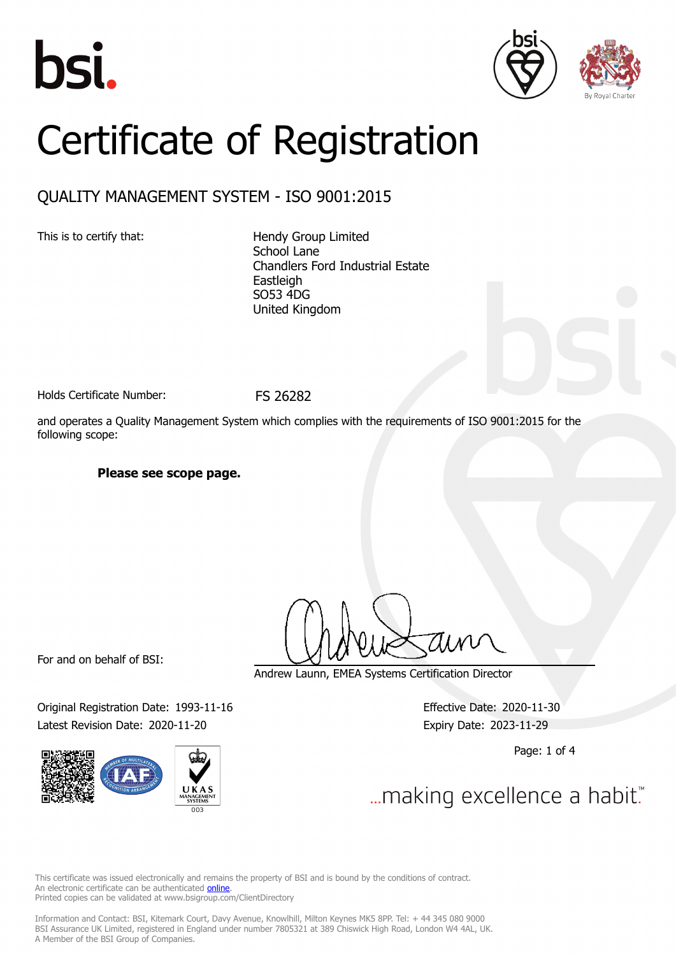





# Certificate of Registration

### QUALITY MANAGEMENT SYSTEM - ISO 9001:2015

This is to certify that: Hendy Group Limited School Lane Chandlers Ford Industrial Estate Eastleigh SO53 4DG United Kingdom

Holds Certificate Number: FS 26282

and operates a Quality Management System which complies with the requirements of ISO 9001:2015 for the following scope:

#### **Please see scope page.**

For and on behalf of BSI:

Original Registration Date: 1993-11-16 Effective Date: 2020-11-30 Latest Revision Date: 2020-11-20 Expiry Date: 2023-11-29



Andrew Launn, EMEA Systems Certification Director

Page: 1 of 4

... making excellence a habit."

This certificate was issued electronically and remains the property of BSI and is bound by the conditions of contract. An electronic certificate can be authenticated **[online](https://pgplus.bsigroup.com/CertificateValidation/CertificateValidator.aspx?CertificateNumber=FS+26282&ReIssueDate=20%2f11%2f2020&Template=uk)**. Printed copies can be validated at www.bsigroup.com/ClientDirectory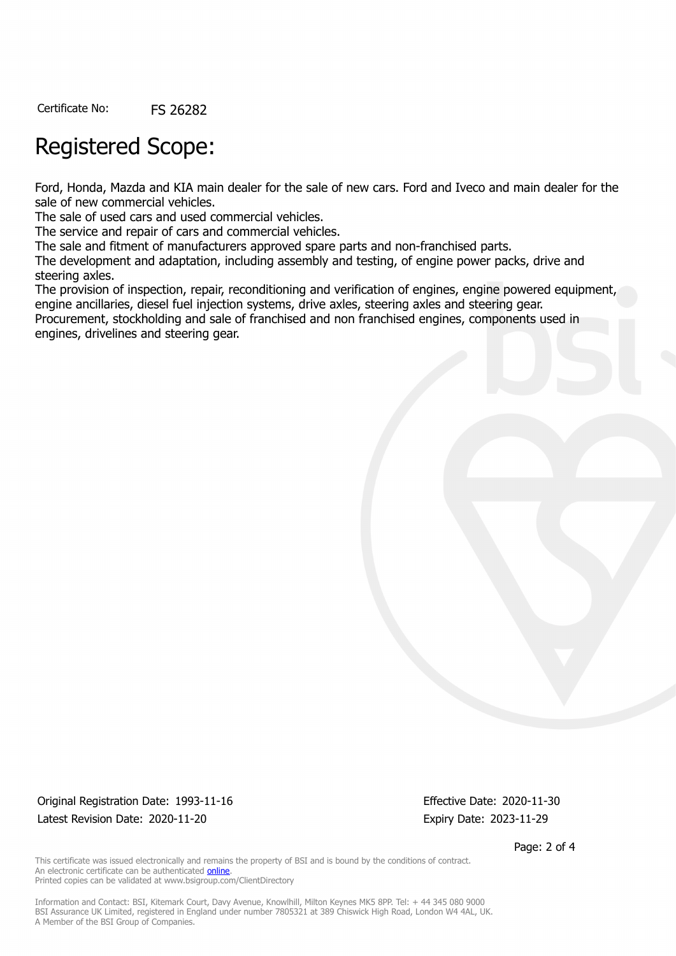Certificate No: FS 26282

## Registered Scope:

Ford, Honda, Mazda and KIA main dealer for the sale of new cars. Ford and Iveco and main dealer for the sale of new commercial vehicles.

The sale of used cars and used commercial vehicles.

The service and repair of cars and commercial vehicles.

The sale and fitment of manufacturers approved spare parts and non-franchised parts.

The development and adaptation, including assembly and testing, of engine power packs, drive and steering axles.

The provision of inspection, repair, reconditioning and verification of engines, engine powered equipment, engine ancillaries, diesel fuel injection systems, drive axles, steering axles and steering gear. Procurement, stockholding and sale of franchised and non franchised engines, components used in

engines, drivelines and steering gear.

Original Registration Date: 1993-11-16 Effective Date: 2020-11-30 Latest Revision Date: 2020-11-20 Expiry Date: 2023-11-29

Page: 2 of 4

This certificate was issued electronically and remains the property of BSI and is bound by the conditions of contract. An electronic certificate can be authenticated [online](https://pgplus.bsigroup.com/CertificateValidation/CertificateValidator.aspx?CertificateNumber=FS+26282&ReIssueDate=20%2f11%2f2020&Template=uk). Printed copies can be validated at www.bsigroup.com/ClientDirectory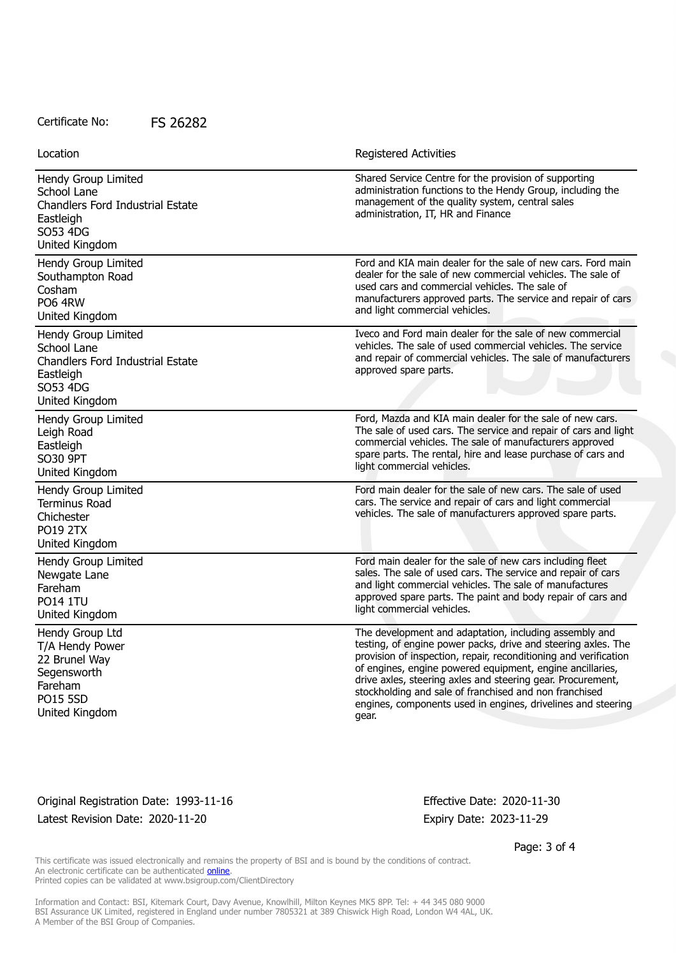#### Certificate No: FS 26282

| Location                                                                                                                 | <b>Registered Activities</b>                                                                                                                                                                                                                                                                                                                                                                                                                               |
|--------------------------------------------------------------------------------------------------------------------------|------------------------------------------------------------------------------------------------------------------------------------------------------------------------------------------------------------------------------------------------------------------------------------------------------------------------------------------------------------------------------------------------------------------------------------------------------------|
| Hendy Group Limited<br>School Lane<br>Chandlers Ford Industrial Estate<br>Eastleigh<br>SO53 4DG<br>United Kingdom        | Shared Service Centre for the provision of supporting<br>administration functions to the Hendy Group, including the<br>management of the quality system, central sales<br>administration, IT, HR and Finance                                                                                                                                                                                                                                               |
| Hendy Group Limited<br>Southampton Road<br>Cosham<br><b>PO6 4RW</b><br>United Kingdom                                    | Ford and KIA main dealer for the sale of new cars. Ford main<br>dealer for the sale of new commercial vehicles. The sale of<br>used cars and commercial vehicles. The sale of<br>manufacturers approved parts. The service and repair of cars<br>and light commercial vehicles.                                                                                                                                                                            |
| Hendy Group Limited<br>School Lane<br><b>Chandlers Ford Industrial Estate</b><br>Eastleigh<br>SO53 4DG<br>United Kingdom | Iveco and Ford main dealer for the sale of new commercial<br>vehicles. The sale of used commercial vehicles. The service<br>and repair of commercial vehicles. The sale of manufacturers<br>approved spare parts.                                                                                                                                                                                                                                          |
| Hendy Group Limited<br>Leigh Road<br>Eastleigh<br>SO30 9PT<br>United Kingdom                                             | Ford, Mazda and KIA main dealer for the sale of new cars.<br>The sale of used cars. The service and repair of cars and light<br>commercial vehicles. The sale of manufacturers approved<br>spare parts. The rental, hire and lease purchase of cars and<br>light commercial vehicles.                                                                                                                                                                      |
| Hendy Group Limited<br><b>Terminus Road</b><br>Chichester<br><b>PO19 2TX</b><br>United Kingdom                           | Ford main dealer for the sale of new cars. The sale of used<br>cars. The service and repair of cars and light commercial<br>vehicles. The sale of manufacturers approved spare parts.                                                                                                                                                                                                                                                                      |
| Hendy Group Limited<br>Newgate Lane<br>Fareham<br><b>PO14 1TU</b><br>United Kingdom                                      | Ford main dealer for the sale of new cars including fleet<br>sales. The sale of used cars. The service and repair of cars<br>and light commercial vehicles. The sale of manufactures<br>approved spare parts. The paint and body repair of cars and<br>light commercial vehicles.                                                                                                                                                                          |
| Hendy Group Ltd<br>T/A Hendy Power<br>22 Brunel Way<br>Segensworth<br>Fareham<br><b>PO15 5SD</b><br>United Kingdom       | The development and adaptation, including assembly and<br>testing, of engine power packs, drive and steering axles. The<br>provision of inspection, repair, reconditioning and verification<br>of engines, engine powered equipment, engine ancillaries,<br>drive axles, steering axles and steering gear. Procurement,<br>stockholding and sale of franchised and non franchised<br>engines, components used in engines, drivelines and steering<br>gear. |

Original Registration Date: 1993-11-16 Effective Date: 2020-11-30 Latest Revision Date: 2020-11-20 Expiry Date: 2023-11-29

Page: 3 of 4

This certificate was issued electronically and remains the property of BSI and is bound by the conditions of contract. An electronic certificate can be authenticated **[online](https://pgplus.bsigroup.com/CertificateValidation/CertificateValidator.aspx?CertificateNumber=FS+26282&ReIssueDate=20%2f11%2f2020&Template=uk)**. Printed copies can be validated at www.bsigroup.com/ClientDirectory